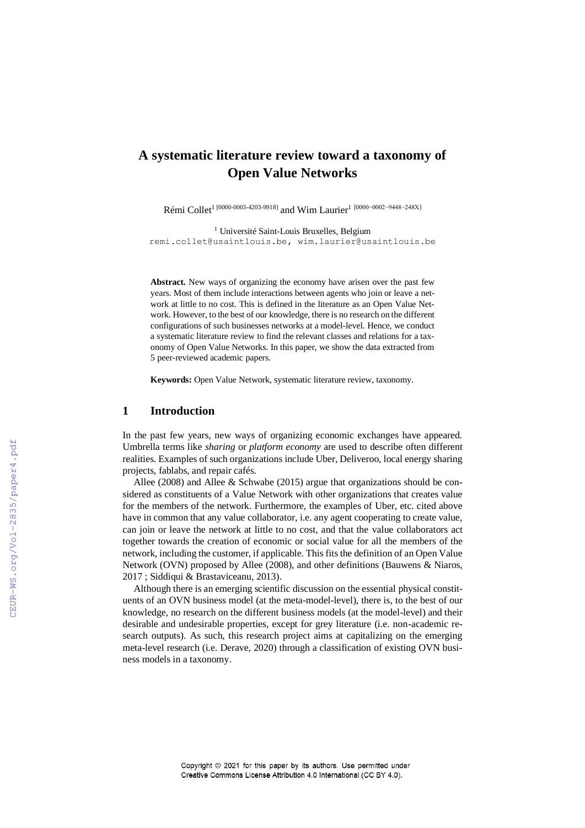# **A systematic literature review toward a taxonomy of Open Value Networks**

Rémi Collet<sup>1 [0000-0003-4203-9918]</sup> and Wim Laurier<sup>1</sup> [0000-0002-9448-248X]

<sup>1</sup> Université Saint-Louis Bruxelles, Belgium [remi.collet@usaintlouis.be,](mailto:remi.collet@usaintlouis.be) wim.laurier@usaintlouis.be

**Abstract.** New ways of organizing the economy have arisen over the past few years. Most of them include interactions between agents who join or leave a network at little to no cost. This is defined in the literature as an Open Value Network. However, to the best of our knowledge, there is no research on the different configurations of such businesses networks at a model-level. Hence, we conduct a systematic literature review to find the relevant classes and relations for a taxonomy of Open Value Networks. In this paper, we show the data extracted from 5 peer-reviewed academic papers.

**Keywords:** Open Value Network, systematic literature review, taxonomy.

### **1 Introduction**

In the past few years, new ways of organizing economic exchanges have appeared. Umbrella terms like *sharing* or *platform economy* are used to describe often different realities. Examples of such organizations include Uber, Deliveroo, local energy sharing projects, fablabs, and repair cafés.

Allee (2008) and Allee & Schwabe (2015) argue that organizations should be considered as constituents of a Value Network with other organizations that creates value for the members of the network. Furthermore, the examples of Uber, etc. cited above have in common that any value collaborator, i.e. any agent cooperating to create value, can join or leave the network at little to no cost, and that the value collaborators act together towards the creation of economic or social value for all the members of the network, including the customer, if applicable. This fits the definition of an Open Value Network (OVN) proposed by Allee (2008), and other definitions (Bauwens & Niaros, 2017 ; Siddiqui & Brastaviceanu, 2013).

Although there is an emerging scientific discussion on the essential physical constituents of an OVN business model (at the meta-model-level), there is, to the best of our knowledge, no research on the different business models (at the model-level) and their desirable and undesirable properties, except for grey literature (i.e. non-academic research outputs). As such, this research project aims at capitalizing on the emerging meta-level research (i.e. Derave, 2020) through a classification of existing OVN business models in a taxonomy.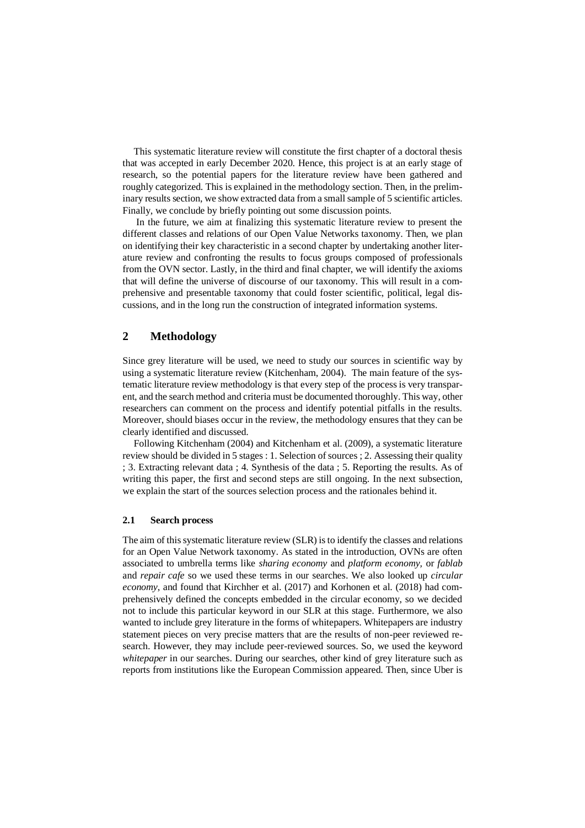This systematic literature review will constitute the first chapter of a doctoral thesis that was accepted in early December 2020. Hence, this project is at an early stage of research, so the potential papers for the literature review have been gathered and roughly categorized. This is explained in the methodology section. Then, in the preliminary results section, we show extracted data from a small sample of 5 scientific articles. Finally, we conclude by briefly pointing out some discussion points.

In the future, we aim at finalizing this systematic literature review to present the different classes and relations of our Open Value Networks taxonomy. Then, we plan on identifying their key characteristic in a second chapter by undertaking another literature review and confronting the results to focus groups composed of professionals from the OVN sector. Lastly, in the third and final chapter, we will identify the axioms that will define the universe of discourse of our taxonomy. This will result in a comprehensive and presentable taxonomy that could foster scientific, political, legal discussions, and in the long run the construction of integrated information systems.

### **2 Methodology**

Since grey literature will be used, we need to study our sources in scientific way by using a systematic literature review (Kitchenham, 2004). The main feature of the systematic literature review methodology is that every step of the process is very transparent, and the search method and criteria must be documented thoroughly. This way, other researchers can comment on the process and identify potential pitfalls in the results. Moreover, should biases occur in the review, the methodology ensures that they can be clearly identified and discussed.

Following Kitchenham (2004) and Kitchenham et al. (2009), a systematic literature review should be divided in 5 stages : 1. Selection of sources ; 2. Assessing their quality ; 3. Extracting relevant data ; 4. Synthesis of the data ; 5. Reporting the results. As of writing this paper, the first and second steps are still ongoing. In the next subsection, we explain the start of the sources selection process and the rationales behind it.

#### **2.1 Search process**

The aim of this systematic literature review (SLR) is to identify the classes and relations for an Open Value Network taxonomy. As stated in the introduction, OVNs are often associated to umbrella terms like *sharing economy* and *platform economy,* or *fablab*  and *repair cafe* so we used these terms in our searches. We also looked up *circular economy*, and found that Kirchher et al. (2017) and Korhonen et al. (2018) had comprehensively defined the concepts embedded in the circular economy, so we decided not to include this particular keyword in our SLR at this stage. Furthermore, we also wanted to include grey literature in the forms of whitepapers. Whitepapers are industry statement pieces on very precise matters that are the results of non-peer reviewed research. However, they may include peer-reviewed sources. So, we used the keyword *whitepaper* in our searches. During our searches, other kind of grey literature such as reports from institutions like the European Commission appeared. Then, since Uber is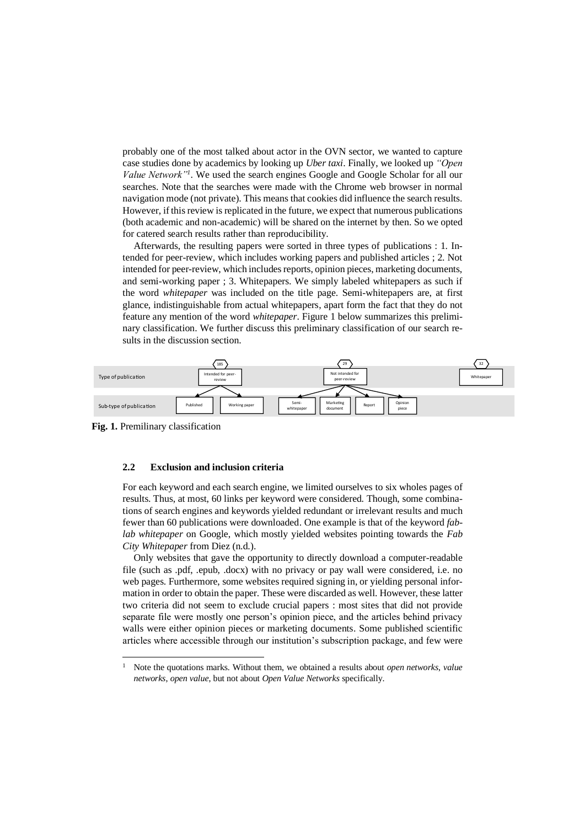probably one of the most talked about actor in the OVN sector, we wanted to capture case studies done by academics by looking up *Uber taxi*. Finally, we looked up *"Open Value Network"<sup>1</sup>* . We used the search engines Google and Google Scholar for all our searches. Note that the searches were made with the Chrome web browser in normal navigation mode (not private). This means that cookies did influence the search results. However, if this review is replicated in the future, we expect that numerous publications (both academic and non-academic) will be shared on the internet by then. So we opted for catered search results rather than reproducibility.

Afterwards, the resulting papers were sorted in three types of publications : 1. Intended for peer-review, which includes working papers and published articles ; 2. Not intended for peer-review, which includes reports, opinion pieces, marketing documents, and semi-working paper ; 3. Whitepapers. We simply labeled whitepapers as such if the word *whitepaper* was included on the title page. Semi-whitepapers are, at first glance, indistinguishable from actual whitepapers, apart form the fact that they do not feature any mention of the word *whitepaper*. Figure 1 below summarizes this preliminary classification. We further discuss this preliminary classification of our search results in the discussion section.



**Fig. 1.** Premilinary classification

#### **2.2 Exclusion and inclusion criteria**

For each keyword and each search engine, we limited ourselves to six wholes pages of results. Thus, at most, 60 links per keyword were considered. Though, some combinations of search engines and keywords yielded redundant or irrelevant results and much fewer than 60 publications were downloaded. One example is that of the keyword *fablab whitepaper* on Google, which mostly yielded websites pointing towards the *Fab City Whitepaper* from Diez (n.d.).

Only websites that gave the opportunity to directly download a computer-readable file (such as .pdf, .epub, .docx) with no privacy or pay wall were considered, i.e. no web pages. Furthermore, some websites required signing in, or yielding personal information in order to obtain the paper. These were discarded as well. However, these latter two criteria did not seem to exclude crucial papers : most sites that did not provide separate file were mostly one person's opinion piece, and the articles behind privacy walls were either opinion pieces or marketing documents. Some published scientific articles where accessible through our institution's subscription package, and few were

<sup>1</sup> Note the quotations marks. Without them, we obtained a results about *open networks*, *value networks*, *open value*, but not about *Open Value Networks* specifically.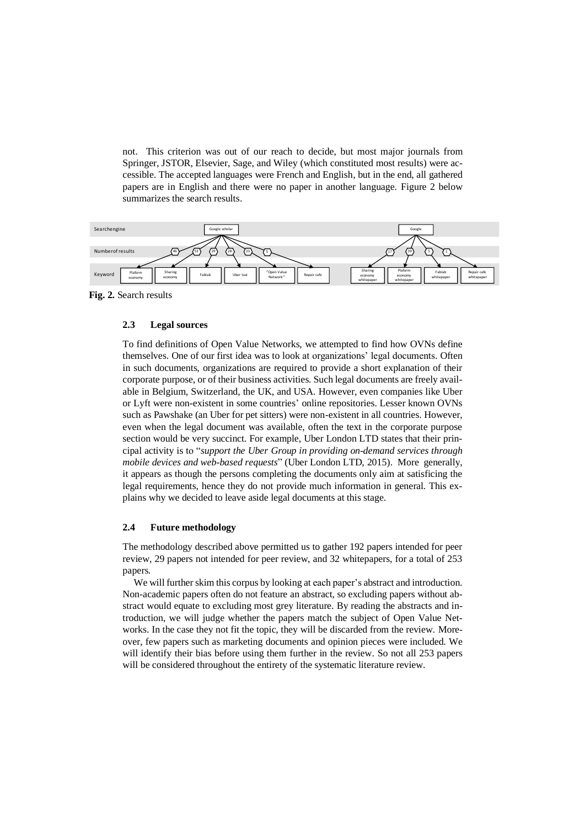not. This criterion was out of our reach to decide, but most major journals from Springer, JSTOR, Elsevier, Sage, and Wiley (which constituted most results) were accessible. The accepted languages were French and English, but in the end, all gathered papers are in English and there were no paper in another language. Figure 2 below summarizes the search results.



**Fig. 2.** Search results

### **2.3 Legal sources**

To find definitions of Open Value Networks, we attempted to find how OVNs define themselves. One of our first idea was to look at organizations' legal documents. Often in such documents, organizations are required to provide a short explanation of their corporate purpose, or of their business activities. Such legal documents are freely available in Belgium, Switzerland, the UK, and USA. However, even companies like Uber or Lyft were non-existent in some countries' online repositories. Lesser known OVNs such as Pawshake (an Uber for pet sitters) were non-existent in all countries. However, even when the legal document was available, often the text in the corporate purpose section would be very succinct. For example, Uber London LTD states that their principal activity is to "*support the Uber Group in providing on-demand services through mobile devices and web-based requests*" (Uber London LTD, 2015). More generally, it appears as though the persons completing the documents only aim at satisficing the legal requirements, hence they do not provide much information in general. This explains why we decided to leave aside legal documents at this stage.

#### **2.4 Future methodology**

The methodology described above permitted us to gather 192 papers intended for peer review, 29 papers not intended for peer review, and 32 whitepapers, for a total of 253 papers.

We will further skim this corpus by looking at each paper's abstract and introduction. Non-academic papers often do not feature an abstract, so excluding papers without abstract would equate to excluding most grey literature. By reading the abstracts and introduction, we will judge whether the papers match the subject of Open Value Networks. In the case they not fit the topic, they will be discarded from the review. Moreover, few papers such as marketing documents and opinion pieces were included. We will identify their bias before using them further in the review. So not all 253 papers will be considered throughout the entirety of the systematic literature review.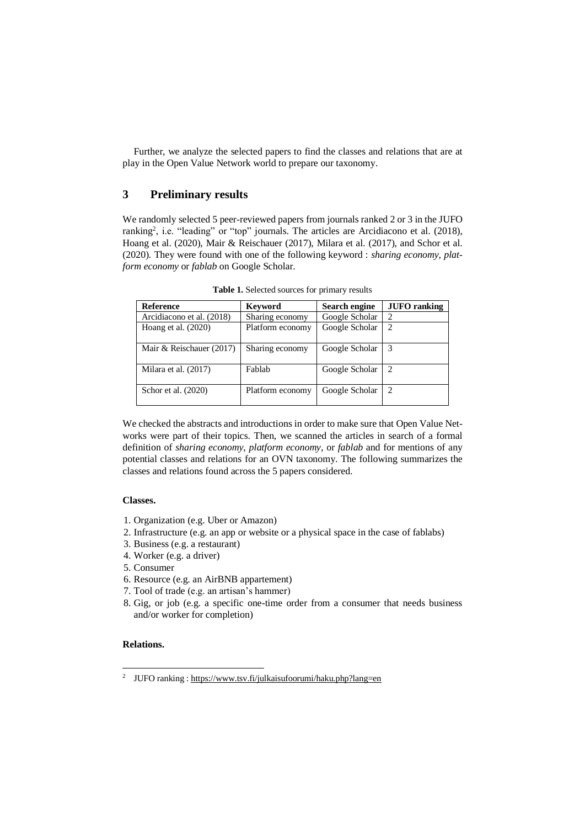Further, we analyze the selected papers to find the classes and relations that are at play in the Open Value Network world to prepare our taxonomy.

### **3 Preliminary results**

We randomly selected 5 peer-reviewed papers from journals ranked 2 or 3 in the JUFO ranking<sup>2</sup>, i.e. "leading" or "top" journals. The articles are Arcidiacono et al. (2018), Hoang et al. (2020), Mair & Reischauer (2017), Milara et al. (2017), and Schor et al. (2020). They were found with one of the following keyword : *sharing economy, platform economy* or *fablab* on Google Scholar.

| <b>Reference</b>          | <b>Keyword</b>   | Search engine  | <b>JUFO</b> ranking         |  |
|---------------------------|------------------|----------------|-----------------------------|--|
| Arcidiacono et al. (2018) | Sharing economy  | Google Scholar | $\mathcal{D}_{\mathcal{L}}$ |  |
| Hoang et al. $(2020)$     | Platform economy | Google Scholar | $\overline{c}$              |  |
|                           |                  |                |                             |  |
| Mair & Reischauer (2017)  | Sharing economy  | Google Scholar | 3                           |  |
| Milara et al. (2017)      | Fablab           | Google Scholar | $\mathcal{D}_{\mathcal{A}}$ |  |
| Schor et al. (2020)       | Platform economy | Google Scholar | $\mathcal{D}_{\mathcal{A}}$ |  |

**Table 1.** Selected sources for primary results

We checked the abstracts and introductions in order to make sure that Open Value Networks were part of their topics. Then, we scanned the articles in search of a formal definition of *sharing economy*, *platform economy*, or *fablab* and for mentions of any potential classes and relations for an OVN taxonomy. The following summarizes the classes and relations found across the 5 papers considered.

### **Classes.**

- 1. Organization (e.g. Uber or Amazon)
- 2. Infrastructure (e.g. an app or website or a physical space in the case of fablabs)
- 3. Business (e.g. a restaurant)
- 4. Worker (e.g. a driver)
- 5. Consumer
- 6. Resource (e.g. an AirBNB appartement)
- 7. Tool of trade (e.g. an artisan's hammer)
- 8. Gig, or job (e.g. a specific one-time order from a consumer that needs business and/or worker for completion)

### **Relations.**

<sup>&</sup>lt;sup>2</sup> JUFO ranking [: https://www.tsv.fi/julkaisufoorumi/haku.php?lang=en](https://www.tsv.fi/julkaisufoorumi/haku.php?lang=en)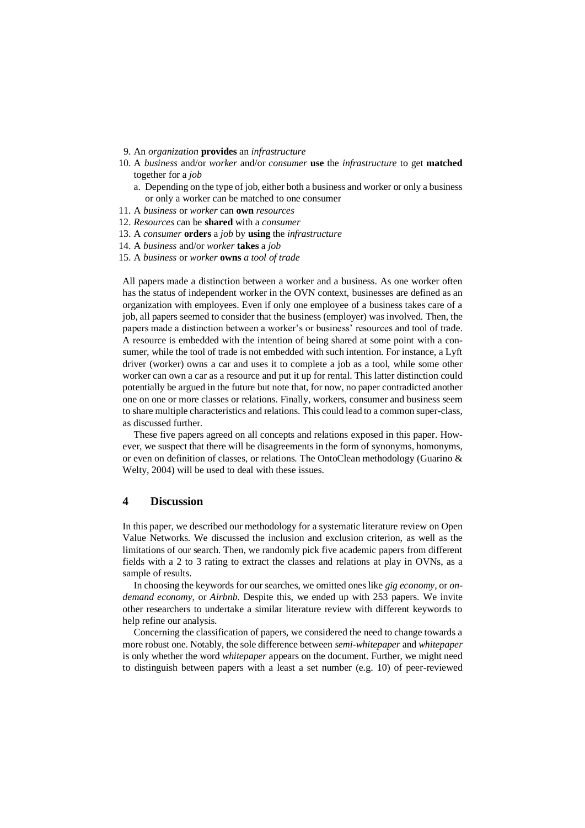- 9. An *organization* **provides** an *infrastructure*
- 10. A *business* and/or *worker* and/or *consumer* **use** the *infrastructure* to get **matched** together for a *job*
	- a. Depending on the type of job, either both a business and worker or only a business or only a worker can be matched to one consumer
- 11. A *business* or *worker* can **own** *resources*
- 12. *Resources* can be **shared** with a *consumer*
- 13. A *consumer* **orders** a *job* by **using** the *infrastructure*
- 14. A *business* and/or *worker* **takes** a *job*
- 15. A *business* or *worker* **owns** *a tool of trade*

All papers made a distinction between a worker and a business. As one worker often has the status of independent worker in the OVN context, businesses are defined as an organization with employees. Even if only one employee of a business takes care of a job, all papers seemed to consider that the business (employer) was involved. Then, the papers made a distinction between a worker's or business' resources and tool of trade. A resource is embedded with the intention of being shared at some point with a consumer, while the tool of trade is not embedded with such intention. For instance, a Lyft driver (worker) owns a car and uses it to complete a job as a tool, while some other worker can own a car as a resource and put it up for rental. This latter distinction could potentially be argued in the future but note that, for now, no paper contradicted another one on one or more classes or relations. Finally, workers, consumer and business seem to share multiple characteristics and relations. This could lead to a common super-class, as discussed further.

These five papers agreed on all concepts and relations exposed in this paper. However, we suspect that there will be disagreements in the form of synonyms, homonyms, or even on definition of classes, or relations. The OntoClean methodology (Guarino & Welty, 2004) will be used to deal with these issues.

### **4 Discussion**

In this paper, we described our methodology for a systematic literature review on Open Value Networks. We discussed the inclusion and exclusion criterion, as well as the limitations of our search. Then, we randomly pick five academic papers from different fields with a 2 to 3 rating to extract the classes and relations at play in OVNs, as a sample of results.

In choosing the keywords for our searches, we omitted ones like *gig economy,* or *ondemand economy*, or *Airbnb*. Despite this, we ended up with 253 papers. We invite other researchers to undertake a similar literature review with different keywords to help refine our analysis.

Concerning the classification of papers, we considered the need to change towards a more robust one. Notably, the sole difference between *semi-whitepaper* and *whitepaper* is only whether the word *whitepaper* appears on the document. Further, we might need to distinguish between papers with a least a set number (e.g. 10) of peer-reviewed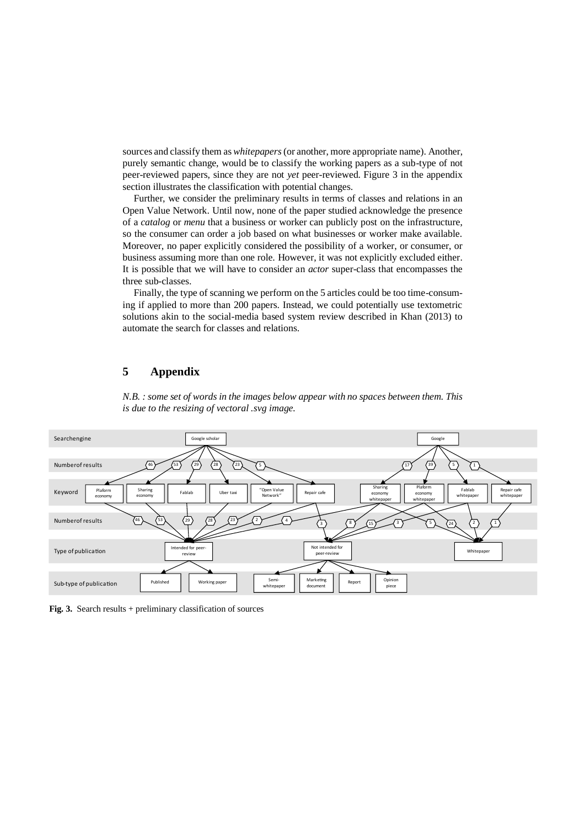sources and classify them as *whitepapers*(or another, more appropriate name). Another, purely semantic change, would be to classify the working papers as a sub-type of not peer-reviewed papers, since they are not *yet* peer-reviewed. Figure 3 in the appendix section illustrates the classification with potential changes.

Further, we consider the preliminary results in terms of classes and relations in an Open Value Network. Until now, none of the paper studied acknowledge the presence of a *catalog* or *menu* that a business or worker can publicly post on the infrastructure, so the consumer can order a job based on what businesses or worker make available. Moreover, no paper explicitly considered the possibility of a worker, or consumer, or business assuming more than one role. However, it was not explicitly excluded either. It is possible that we will have to consider an *actor* super-class that encompasses the three sub-classes.

Finally, the type of scanning we perform on the 5 articles could be too time-consuming if applied to more than 200 papers. Instead, we could potentially use textometric solutions akin to the social-media based system review described in Khan (2013) to automate the search for classes and relations.

## **5 Appendix**



*N.B. : some set of words in the images below appear with no spaces between them. This is due to the resizing of vectoral .svg image.*

 **Fig. 3.** Search results + preliminary classification of sources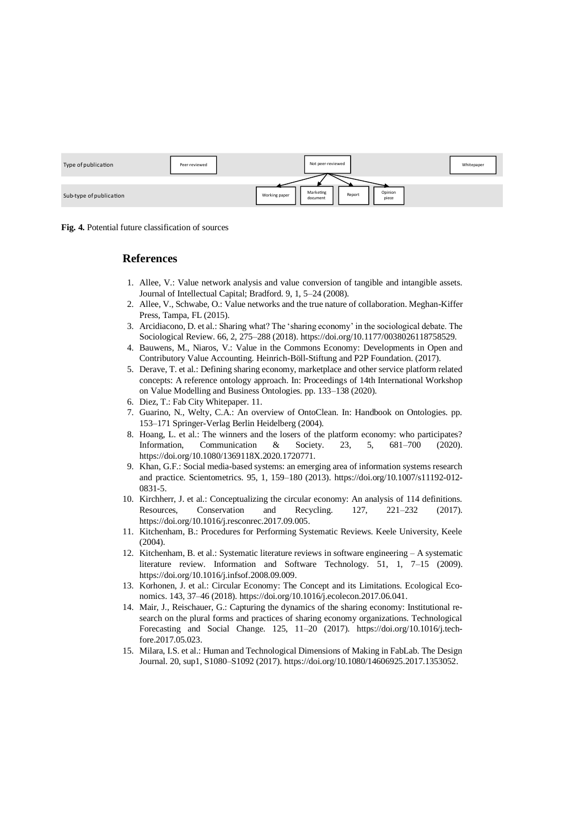| Type of publication     | Peer-reviewed | Not peer-reviewed                                                    | Whitepaper |
|-------------------------|---------------|----------------------------------------------------------------------|------------|
|                         |               |                                                                      |            |
| Sub-type of publication |               | Marketing<br>Opinion<br>Report<br>Working paper<br>piece<br>document |            |

**Fig. 4.** Potential future classification of sources

### **References**

- 1. Allee, V.: Value network analysis and value conversion of tangible and intangible assets. Journal of Intellectual Capital; Bradford. 9, 1, 5–24 (2008).
- 2. Allee, V., Schwabe, O.: Value networks and the true nature of collaboration. Meghan-Kiffer Press, Tampa, FL (2015).
- 3. Arcidiacono, D. et al.: Sharing what? The 'sharing economy' in the sociological debate. The Sociological Review. 66, 2, 275–288 (2018)[. https://doi.org/10.1177/0038026118758529.](https://doi.org/10.1177/0038026118758529)
- 4. Bauwens, M., Niaros, V.: Value in the Commons Economy: Developments in Open and Contributory Value Accounting. Heinrich-Böll-Stiftung and P2P Foundation. (2017).
- 5. Derave, T. et al.: Defining sharing economy, marketplace and other service platform related concepts: A reference ontology approach. In: Proceedings of 14th International Workshop on Value Modelling and Business Ontologies. pp. 133–138 (2020).
- 6. Diez, T.: Fab City Whitepaper. 11.
- 7. Guarino, N., Welty, C.A.: An overview of OntoClean. In: Handbook on Ontologies. pp. 153–171 Springer-Verlag Berlin Heidelberg (2004).
- 8. Hoang, L. et al.: The winners and the losers of the platform economy: who participates? Information, Communication & Society. 23, 5, 681–700 (2020). [https://doi.org/10.1080/1369118X.2020.1720771.](https://doi.org/10.1080/1369118X.2020.1720771)
- 9. Khan, G.F.: Social media-based systems: an emerging area of information systems research and practice. Scientometrics. 95, 1, 159–180 (2013). [https://doi.org/10.1007/s11192-012-](https://doi.org/10.1007/s11192-012-0831-5) [0831-5.](https://doi.org/10.1007/s11192-012-0831-5)
- 10. Kirchherr, J. et al.: Conceptualizing the circular economy: An analysis of 114 definitions. Resources, Conservation and Recycling. 127, 221–232 (2017). [https://doi.org/10.1016/j.resconrec.2017.09.005.](https://doi.org/10.1016/j.resconrec.2017.09.005)
- 11. Kitchenham, B.: Procedures for Performing Systematic Reviews. Keele University, Keele (2004).
- 12. Kitchenham, B. et al.: Systematic literature reviews in software engineering A systematic literature review. Information and Software Technology. 51, 1, 7–15 (2009). [https://doi.org/10.1016/j.infsof.2008.09.009.](https://doi.org/10.1016/j.infsof.2008.09.009)
- 13. Korhonen, J. et al.: Circular Economy: The Concept and its Limitations. Ecological Economics. 143, 37–46 (2018)[. https://doi.org/10.1016/j.ecolecon.2017.06.041.](https://doi.org/10.1016/j.ecolecon.2017.06.041)
- 14. Mair, J., Reischauer, G.: Capturing the dynamics of the sharing economy: Institutional research on the plural forms and practices of sharing economy organizations. Technological Forecasting and Social Change. 125, 11–20 (2017). [https://doi.org/10.1016/j.tech](https://doi.org/10.1016/j.techfore.2017.05.023)[fore.2017.05.023.](https://doi.org/10.1016/j.techfore.2017.05.023)
- 15. Milara, I.S. et al.: Human and Technological Dimensions of Making in FabLab. The Design Journal. 20, sup1, S1080–S1092 (2017)[. https://doi.org/10.1080/14606925.2017.1353052.](https://doi.org/10.1080/14606925.2017.1353052)